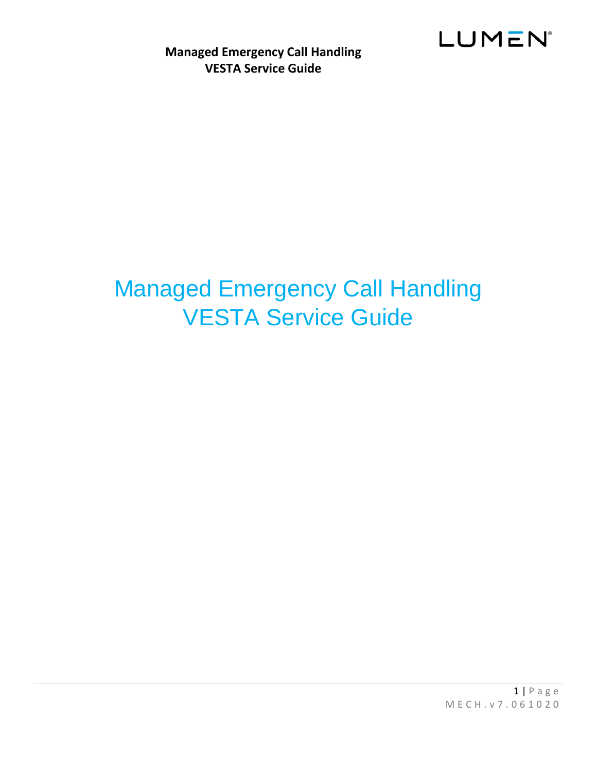

# <span id="page-0-0"></span>Managed Emergency Call Handling VESTA Service Guide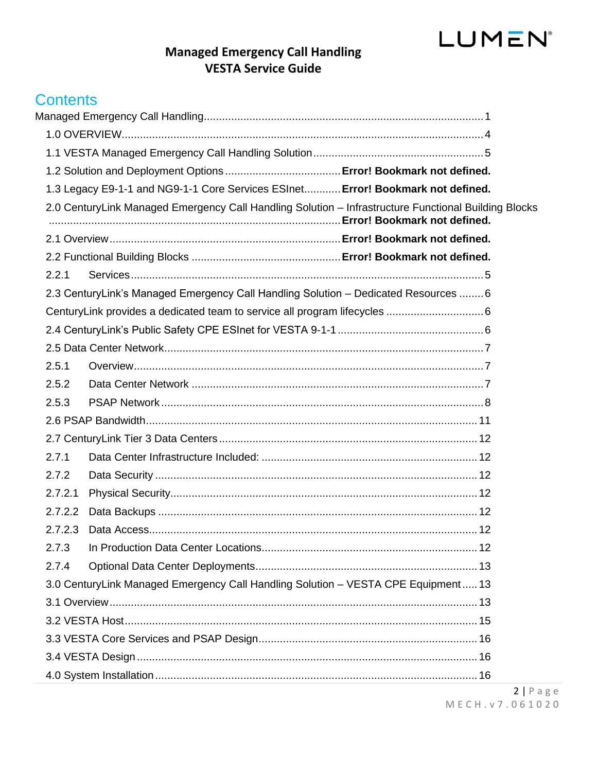## **Managed Emergency Call Handling VESTA Service Guide**

## **Contents**

|         | 1.3 Legacy E9-1-1 and NG9-1-1 Core Services ESInet Error! Bookmark not defined.                      |  |
|---------|------------------------------------------------------------------------------------------------------|--|
|         | 2.0 CenturyLink Managed Emergency Call Handling Solution - Infrastructure Functional Building Blocks |  |
|         |                                                                                                      |  |
|         |                                                                                                      |  |
| 2.2.1   |                                                                                                      |  |
|         | 2.3 CenturyLink's Managed Emergency Call Handling Solution - Dedicated Resources  6                  |  |
|         |                                                                                                      |  |
|         |                                                                                                      |  |
|         |                                                                                                      |  |
| 2.5.1   |                                                                                                      |  |
| 2.5.2   |                                                                                                      |  |
| 2.5.3   |                                                                                                      |  |
|         |                                                                                                      |  |
|         |                                                                                                      |  |
| 2.7.1   |                                                                                                      |  |
| 2.7.2   |                                                                                                      |  |
| 2.7.2.1 |                                                                                                      |  |
| 2.7.2.2 |                                                                                                      |  |
| 2.7.2.3 |                                                                                                      |  |
| 2.7.3   |                                                                                                      |  |
| 2.7.4   |                                                                                                      |  |
|         | 3.0 CenturyLink Managed Emergency Call Handling Solution - VESTA CPE Equipment 13                    |  |
|         |                                                                                                      |  |
|         |                                                                                                      |  |
|         |                                                                                                      |  |
|         |                                                                                                      |  |
|         |                                                                                                      |  |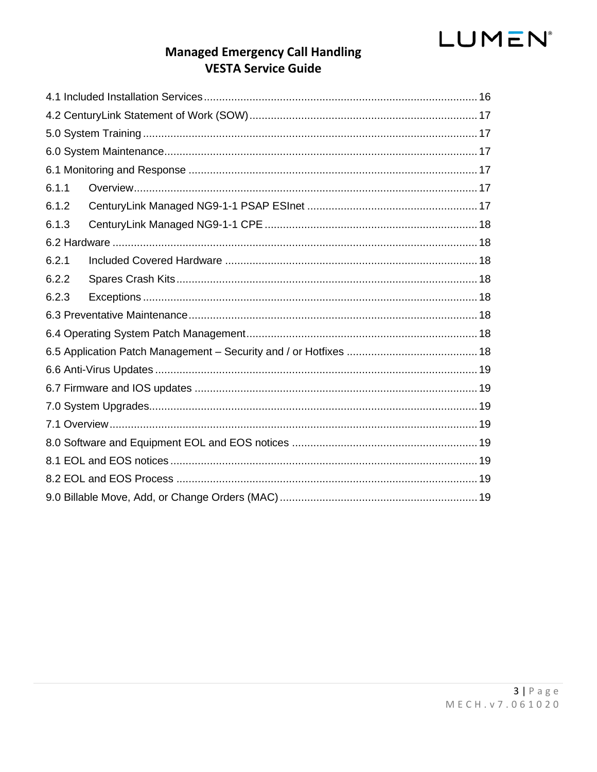## **Managed Emergency Call Handling VESTA Service Guide**

| 6.1.1 |  |
|-------|--|
| 6.1.2 |  |
| 6.1.3 |  |
|       |  |
| 6.2.1 |  |
| 6.2.2 |  |
| 6.2.3 |  |
|       |  |
|       |  |
|       |  |
|       |  |
|       |  |
|       |  |
|       |  |
|       |  |
|       |  |
|       |  |
|       |  |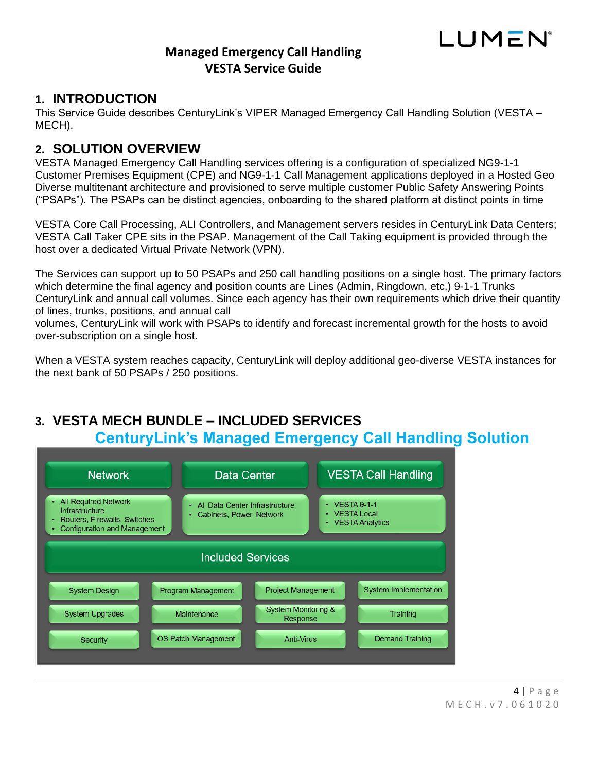#### <span id="page-3-0"></span>**1. INTRODUCTION**

This Service Guide describes CenturyLink's VIPER Managed Emergency Call Handling Solution (VESTA – MECH).

### **2. SOLUTION OVERVIEW**

VESTA Managed Emergency Call Handling services offering is a configuration of specialized NG9-1-1 Customer Premises Equipment (CPE) and NG9-1-1 Call Management applications deployed in a Hosted Geo Diverse multitenant architecture and provisioned to serve multiple customer Public Safety Answering Points ("PSAPs"). The PSAPs can be distinct agencies, onboarding to the shared platform at distinct points in time

VESTA Core Call Processing, ALI Controllers, and Management servers resides in CenturyLink Data Centers; VESTA Call Taker CPE sits in the PSAP. Management of the Call Taking equipment is provided through the host over a dedicated Virtual Private Network (VPN).

The Services can support up to 50 PSAPs and 250 call handling positions on a single host. The primary factors which determine the final agency and position counts are Lines (Admin, Ringdown, etc.) 9-1-1 Trunks CenturyLink and annual call volumes. Since each agency has their own requirements which drive their quantity of lines, trunks, positions, and annual call

volumes, CenturyLink will work with PSAPs to identify and forecast incremental growth for the hosts to avoid over-subscription on a single host.

When a VESTA system reaches capacity, CenturyLink will deploy additional geo-diverse VESTA instances for the next bank of 50 PSAPs / 250 positions.

## **3. VESTA MECH BUNDLE – INCLUDED SERVICES CenturyLink's Managed Emergency Call Handling Solution**



LUMEN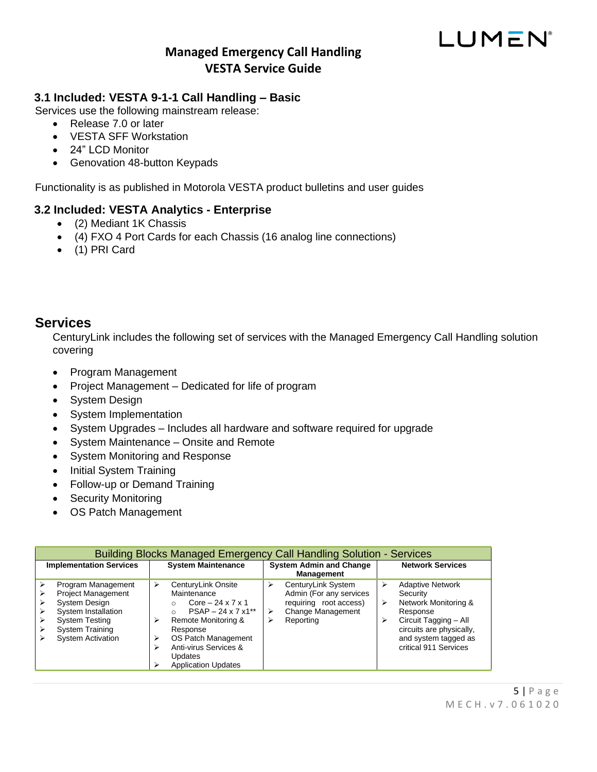# LUMEN®

#### <span id="page-4-0"></span>**3.1 Included: VESTA 9-1-1 Call Handling – Basic**

Services use the following mainstream release:

- Release 7.0 or later
- VESTA SFF Workstation
- 24" LCD Monitor
- Genovation 48-button Keypads

Functionality is as published in Motorola VESTA product bulletins and user guides

#### **3.2 Included: VESTA Analytics - Enterprise**

- (2) Mediant 1K Chassis
- (4) FXO 4 Port Cards for each Chassis (16 analog line connections)
- (1) PRI Card

### <span id="page-4-1"></span>**Services**

CenturyLink includes the following set of services with the Managed Emergency Call Handling solution covering

- Program Management
- Project Management Dedicated for life of program
- System Design
- System Implementation
- System Upgrades Includes all hardware and software required for upgrade
- System Maintenance Onsite and Remote
- System Monitoring and Response
- Initial System Training
- Follow-up or Demand Training
- Security Monitoring
- OS Patch Management

|                                                           | <b>Building Blocks Managed Emergency Call Handling Solution - Services</b>                         |                            |                                                                                                                                                                                                                                                      |                                                     |                                                                                                           |                         |                                                                                                                                                                               |
|-----------------------------------------------------------|----------------------------------------------------------------------------------------------------|----------------------------|------------------------------------------------------------------------------------------------------------------------------------------------------------------------------------------------------------------------------------------------------|-----------------------------------------------------|-----------------------------------------------------------------------------------------------------------|-------------------------|-------------------------------------------------------------------------------------------------------------------------------------------------------------------------------|
| <b>Implementation Services</b>                            |                                                                                                    | <b>System Maintenance</b>  |                                                                                                                                                                                                                                                      | <b>System Admin and Change</b><br><b>Management</b> |                                                                                                           | <b>Network Services</b> |                                                                                                                                                                               |
| System Design<br><b>System Testing</b><br>System Training | Program Management<br><b>Project Management</b><br>System Installation<br><b>System Activation</b> | ➤<br>$\triangleright$<br>⋗ | CenturyLink Onsite<br>Maintenance<br>Core $-24 \times 7 \times 1$<br>$PSAP - 24 \times 7 \times 1**$<br>$\bigcap$<br>Remote Monitoring &<br>Response<br>OS Patch Management<br>Anti-virus Services &<br><b>Updates</b><br><b>Application Updates</b> | ⋗<br>⋗<br>⋗                                         | CenturyLink System<br>Admin (For any services<br>requiring root access)<br>Change Management<br>Reporting | ⋗                       | <b>Adaptive Network</b><br>Security<br>Network Monitoring &<br>Response<br>Circuit Tagging - All<br>circuits are physically,<br>and system tagged as<br>critical 911 Services |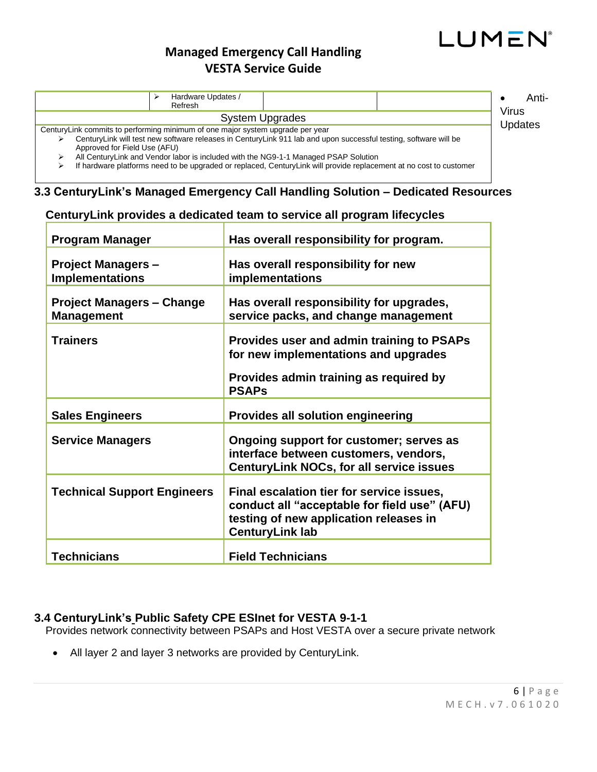# LUMEN®

## **Managed Emergency Call Handling VESTA Service Guide**

|                                                                                | Hardware Updates /<br>Refresh |                                                                                                                                                                                                           | Anti-            |
|--------------------------------------------------------------------------------|-------------------------------|-----------------------------------------------------------------------------------------------------------------------------------------------------------------------------------------------------------|------------------|
|                                                                                |                               | <b>System Upgrades</b>                                                                                                                                                                                    | Virus<br>Updates |
| CenturyLink commits to performing minimum of one major system upgrade per year |                               |                                                                                                                                                                                                           |                  |
| Approved for Field Use (AFU)                                                   |                               | CenturyLink will test new software releases in CenturyLink 911 lab and upon successful testing, software will be                                                                                          |                  |
|                                                                                |                               | All CenturyLink and Vendor labor is included with the NG9-1-1 Managed PSAP Solution<br>If hardware platforms need to be upgraded or replaced, CenturyLink will provide replacement at no cost to customer |                  |

## <span id="page-5-1"></span><span id="page-5-0"></span>**3.3 CenturyLink's Managed Emergency Call Handling Solution – Dedicated Resources**

| <b>Program Manager</b>                                | Has overall responsibility for program.                                                                                                                       |
|-------------------------------------------------------|---------------------------------------------------------------------------------------------------------------------------------------------------------------|
| <b>Project Managers -</b><br><b>Implementations</b>   | Has overall responsibility for new<br>implementations                                                                                                         |
| <b>Project Managers - Change</b><br><b>Management</b> | Has overall responsibility for upgrades,<br>service packs, and change management                                                                              |
| Trainers                                              | Provides user and admin training to PSAPs<br>for new implementations and upgrades                                                                             |
|                                                       | Provides admin training as required by<br><b>PSAPs</b>                                                                                                        |
| <b>Sales Engineers</b>                                | <b>Provides all solution engineering</b>                                                                                                                      |
| <b>Service Managers</b>                               | Ongoing support for customer; serves as<br>interface between customers, vendors,<br><b>CenturyLink NOCs, for all service issues</b>                           |
| <b>Technical Support Engineers</b>                    | Final escalation tier for service issues,<br>conduct all "acceptable for field use" (AFU)<br>testing of new application releases in<br><b>CenturyLink lab</b> |
| <b>Technicians</b>                                    | <b>Field Technicians</b>                                                                                                                                      |

#### **CenturyLink provides a dedicated team to service all program lifecycles**

#### <span id="page-5-2"></span>**3.4 CenturyLink's Public Safety CPE ESInet for VESTA 9-1-1**

Provides network connectivity between PSAPs and Host VESTA over a secure private network

• All layer 2 and layer 3 networks are provided by CenturyLink.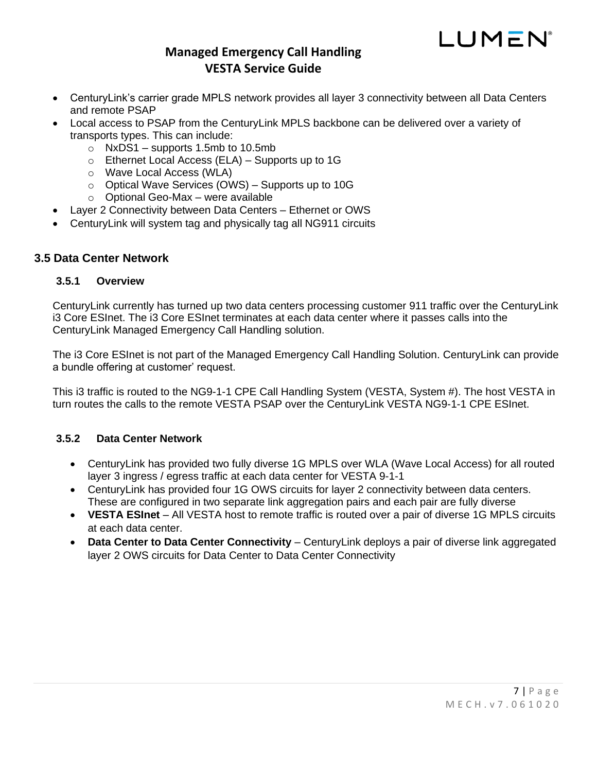

- CenturyLink's carrier grade MPLS network provides all layer 3 connectivity between all Data Centers and remote PSAP
- Local access to PSAP from the CenturyLink MPLS backbone can be delivered over a variety of transports types. This can include:
	- $\circ$  NxDS1 supports 1.5mb to 10.5mb
	- o Ethernet Local Access (ELA) Supports up to 1G
	- o Wave Local Access (WLA)
	- o Optical Wave Services (OWS) Supports up to 10G
	- o Optional Geo-Max were available
- Layer 2 Connectivity between Data Centers Ethernet or OWS
- CenturyLink will system tag and physically tag all NG911 circuits

#### <span id="page-6-1"></span><span id="page-6-0"></span>**3.5 Data Center Network**

#### **3.5.1 Overview**

CenturyLink currently has turned up two data centers processing customer 911 traffic over the CenturyLink i3 Core ESInet. The i3 Core ESInet terminates at each data center where it passes calls into the CenturyLink Managed Emergency Call Handling solution.

The i3 Core ESInet is not part of the Managed Emergency Call Handling Solution. CenturyLink can provide a bundle offering at customer' request.

This i3 traffic is routed to the NG9-1-1 CPE Call Handling System (VESTA, System #). The host VESTA in turn routes the calls to the remote VESTA PSAP over the CenturyLink VESTA NG9-1-1 CPE ESInet.

#### <span id="page-6-2"></span>**3.5.2 Data Center Network**

- CenturyLink has provided two fully diverse 1G MPLS over WLA (Wave Local Access) for all routed layer 3 ingress / egress traffic at each data center for VESTA 9-1-1
- CenturyLink has provided four 1G OWS circuits for layer 2 connectivity between data centers. These are configured in two separate link aggregation pairs and each pair are fully diverse
- VESTA ESInet All VESTA host to remote traffic is routed over a pair of diverse 1G MPLS circuits at each data center.
- **Data Center to Data Center Connectivity** CenturyLink deploys a pair of diverse link aggregated layer 2 OWS circuits for Data Center to Data Center Connectivity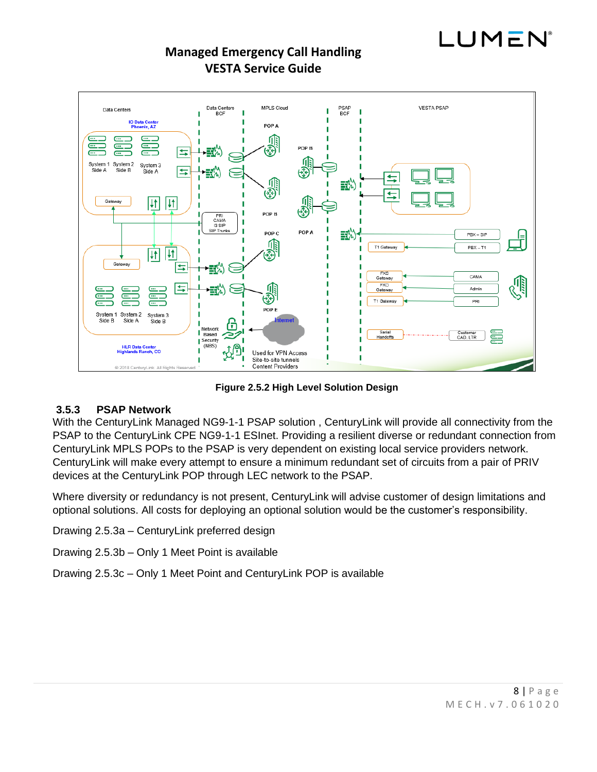



**Figure 2.5.2 High Level Solution Design**

#### <span id="page-7-0"></span>**3.5.3 PSAP Network**

With the CenturyLink Managed NG9-1-1 PSAP solution , CenturyLink will provide all connectivity from the PSAP to the CenturyLink CPE NG9-1-1 ESInet. Providing a resilient diverse or redundant connection from CenturyLink MPLS POPs to the PSAP is very dependent on existing local service providers network. CenturyLink will make every attempt to ensure a minimum redundant set of circuits from a pair of PRIV devices at the CenturyLink POP through LEC network to the PSAP.

Where diversity or redundancy is not present, CenturyLink will advise customer of design limitations and optional solutions. All costs for deploying an optional solution would be the customer's responsibility.

Drawing 2.5.3a – CenturyLink preferred design

Drawing 2.5.3b – Only 1 Meet Point is available

Drawing 2.5.3c – Only 1 Meet Point and CenturyLink POP is available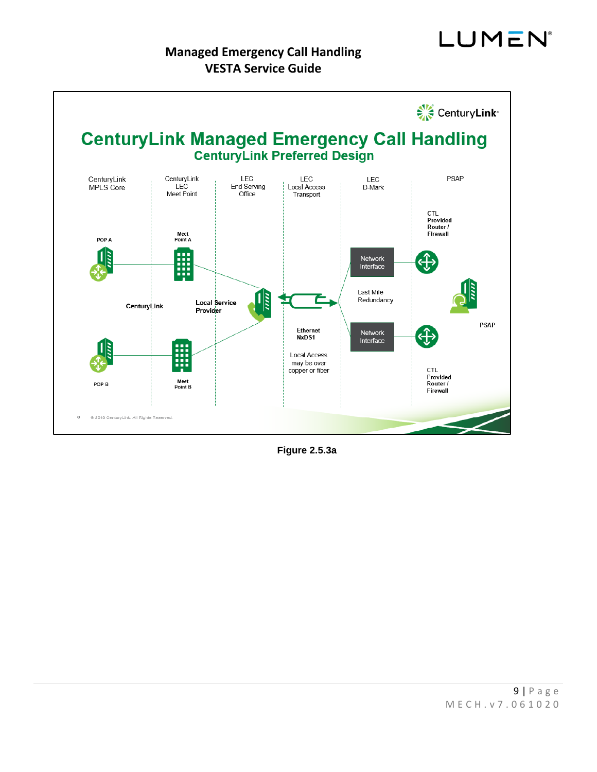

**Figure 2.5.3a**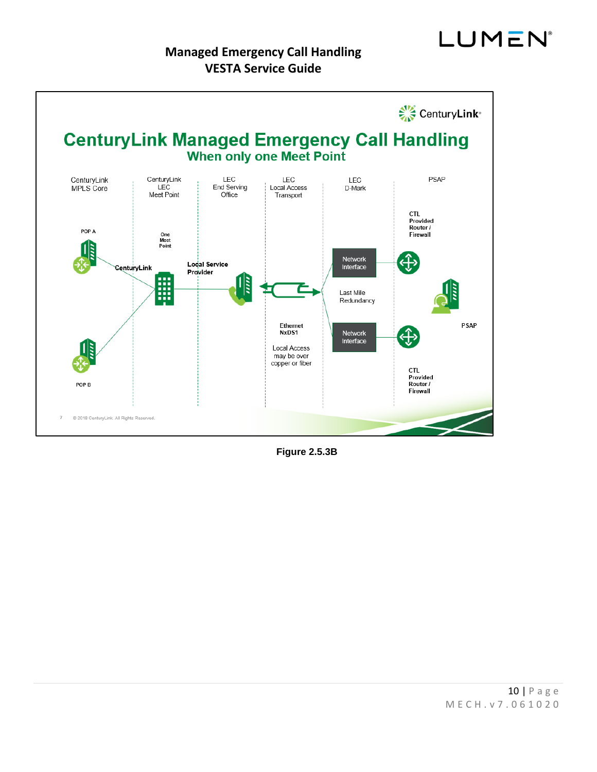

**Figure 2.5.3B**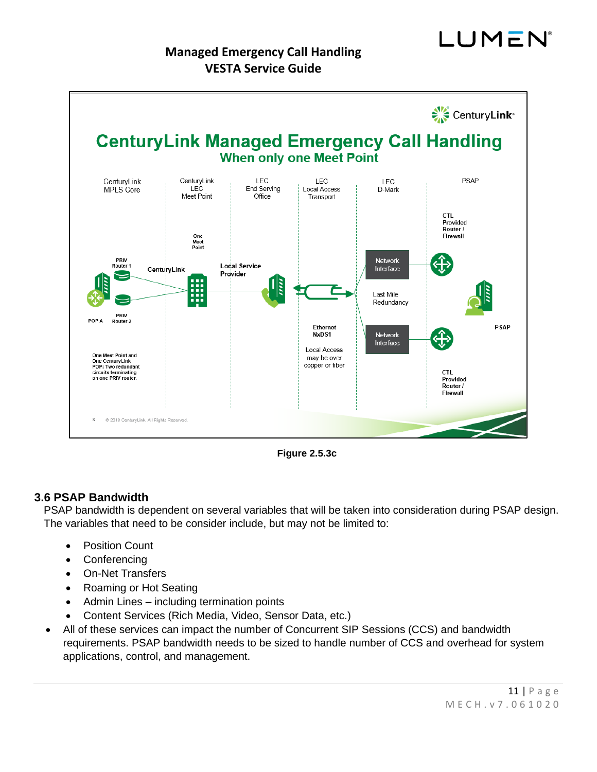



**Figure 2.5.3c**

#### <span id="page-10-0"></span>**3.6 PSAP Bandwidth**

PSAP bandwidth is dependent on several variables that will be taken into consideration during PSAP design. The variables that need to be consider include, but may not be limited to:

- **Position Count**
- Conferencing
- On-Net Transfers
- Roaming or Hot Seating
- Admin Lines including termination points
- Content Services (Rich Media, Video, Sensor Data, etc.)
- All of these services can impact the number of Concurrent SIP Sessions (CCS) and bandwidth requirements. PSAP bandwidth needs to be sized to handle number of CCS and overhead for system applications, control, and management.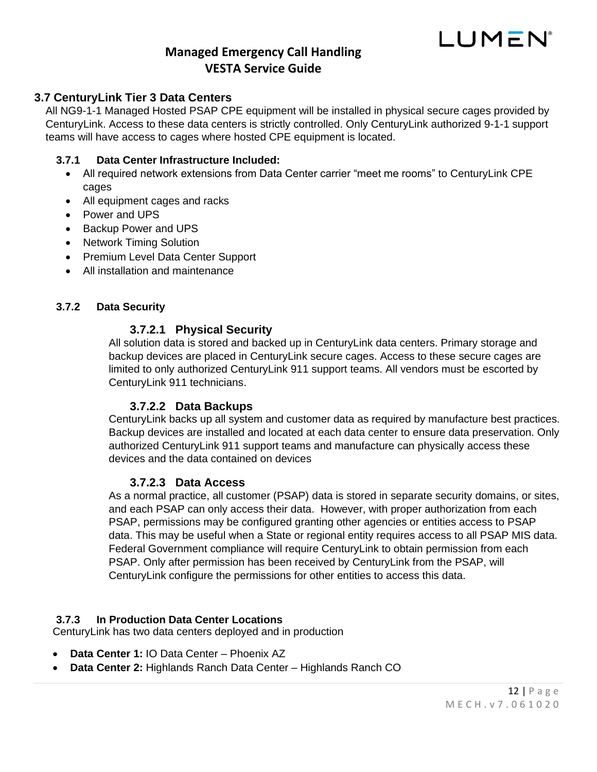

#### <span id="page-11-0"></span>**3.7 CenturyLink Tier 3 Data Centers**

All NG9-1-1 Managed Hosted PSAP CPE equipment will be installed in physical secure cages provided by CenturyLink. Access to these data centers is strictly controlled. Only CenturyLink authorized 9-1-1 support teams will have access to cages where hosted CPE equipment is located.

#### <span id="page-11-1"></span>**3.7.1 Data Center Infrastructure Included:**

- All required network extensions from Data Center carrier "meet me rooms" to CenturyLink CPE cages
- All equipment cages and racks
- Power and UPS
- Backup Power and UPS
- Network Timing Solution
- Premium Level Data Center Support
- All installation and maintenance

#### <span id="page-11-3"></span><span id="page-11-2"></span>**3.7.2 Data Security**

#### **3.7.2.1 Physical Security**

All solution data is stored and backed up in CenturyLink data centers. Primary storage and backup devices are placed in CenturyLink secure cages. Access to these secure cages are limited to only authorized CenturyLink 911 support teams. All vendors must be escorted by CenturyLink 911 technicians.

#### **3.7.2.2 Data Backups**

<span id="page-11-4"></span>CenturyLink backs up all system and customer data as required by manufacture best practices. Backup devices are installed and located at each data center to ensure data preservation. Only authorized CenturyLink 911 support teams and manufacture can physically access these devices and the data contained on devices

#### **3.7.2.3 Data Access**

<span id="page-11-5"></span>As a normal practice, all customer (PSAP) data is stored in separate security domains, or sites, and each PSAP can only access their data. However, with proper authorization from each PSAP, permissions may be configured granting other agencies or entities access to PSAP data. This may be useful when a State or regional entity requires access to all PSAP MIS data. Federal Government compliance will require CenturyLink to obtain permission from each PSAP. Only after permission has been received by CenturyLink from the PSAP, will CenturyLink configure the permissions for other entities to access this data.

#### <span id="page-11-6"></span>**3.7.3 In Production Data Center Locations**

CenturyLink has two data centers deployed and in production

- **Data Center 1:** IO Data Center Phoenix AZ
- **Data Center 2:** Highlands Ranch Data Center Highlands Ranch CO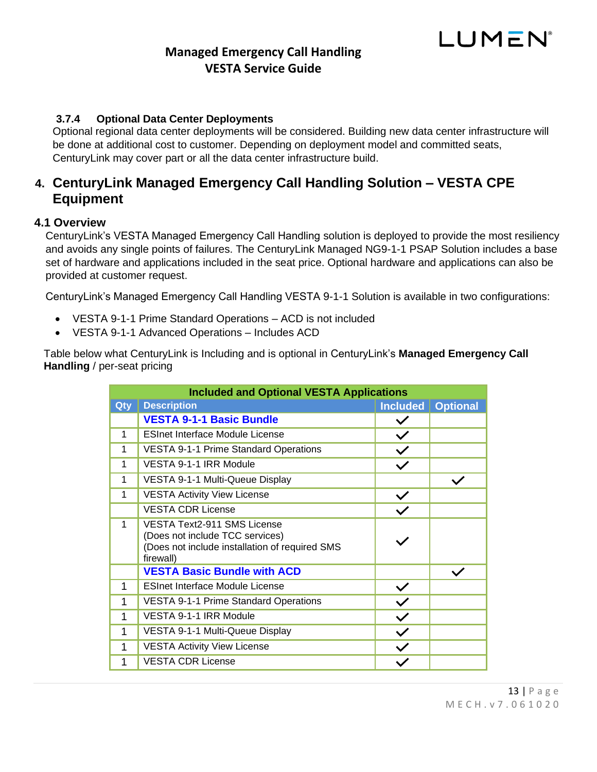## LUMEN

## **Managed Emergency Call Handling VESTA Service Guide**

#### <span id="page-12-0"></span>**3.7.4 Optional Data Center Deployments**

Optional regional data center deployments will be considered. Building new data center infrastructure will be done at additional cost to customer. Depending on deployment model and committed seats, CenturyLink may cover part or all the data center infrastructure build.

## <span id="page-12-1"></span>**4. CenturyLink Managed Emergency Call Handling Solution – VESTA CPE Equipment**

#### <span id="page-12-2"></span>**4.1 Overview**

CenturyLink's VESTA Managed Emergency Call Handling solution is deployed to provide the most resiliency and avoids any single points of failures. The CenturyLink Managed NG9-1-1 PSAP Solution includes a base set of hardware and applications included in the seat price. Optional hardware and applications can also be provided at customer request.

CenturyLink's Managed Emergency Call Handling VESTA 9-1-1 Solution is available in two configurations:

- VESTA 9-1-1 Prime Standard Operations ACD is not included
- VESTA 9-1-1 Advanced Operations Includes ACD

Table below what CenturyLink is Including and is optional in CenturyLink's **Managed Emergency Call Handling** / per-seat pricing

|     | <b>Included and Optional VESTA Applications</b>                                                                                      |                 |                 |
|-----|--------------------------------------------------------------------------------------------------------------------------------------|-----------------|-----------------|
| Qty | <b>Description</b>                                                                                                                   | <b>Included</b> | <b>Optional</b> |
|     | <b>VESTA 9-1-1 Basic Bundle</b>                                                                                                      | $\checkmark$    |                 |
| 1   | <b>ESInet Interface Module License</b>                                                                                               | $\checkmark$    |                 |
| 1   | <b>VESTA 9-1-1 Prime Standard Operations</b>                                                                                         | $\checkmark$    |                 |
| 1   | VESTA 9-1-1 IRR Module                                                                                                               | $\checkmark$    |                 |
| 1   | VESTA 9-1-1 Multi-Queue Display                                                                                                      |                 |                 |
| 1   | <b>VESTA Activity View License</b>                                                                                                   | $\checkmark$    |                 |
|     | <b>VESTA CDR License</b>                                                                                                             |                 |                 |
| 1   | <b>VESTA Text2-911 SMS License</b><br>(Does not include TCC services)<br>(Does not include installation of required SMS<br>firewall) |                 |                 |
|     | <b>VESTA Basic Bundle with ACD</b>                                                                                                   |                 |                 |
| 1   | <b>ESInet Interface Module License</b>                                                                                               | $\checkmark$    |                 |
| 1   | <b>VESTA 9-1-1 Prime Standard Operations</b>                                                                                         | $\checkmark$    |                 |
| 1   | VESTA 9-1-1 IRR Module                                                                                                               | $\checkmark$    |                 |
| 1   | VESTA 9-1-1 Multi-Queue Display                                                                                                      | $\checkmark$    |                 |
| 1   | <b>VESTA Activity View License</b>                                                                                                   | $\checkmark$    |                 |
| 1   | <b>VESTA CDR License</b>                                                                                                             |                 |                 |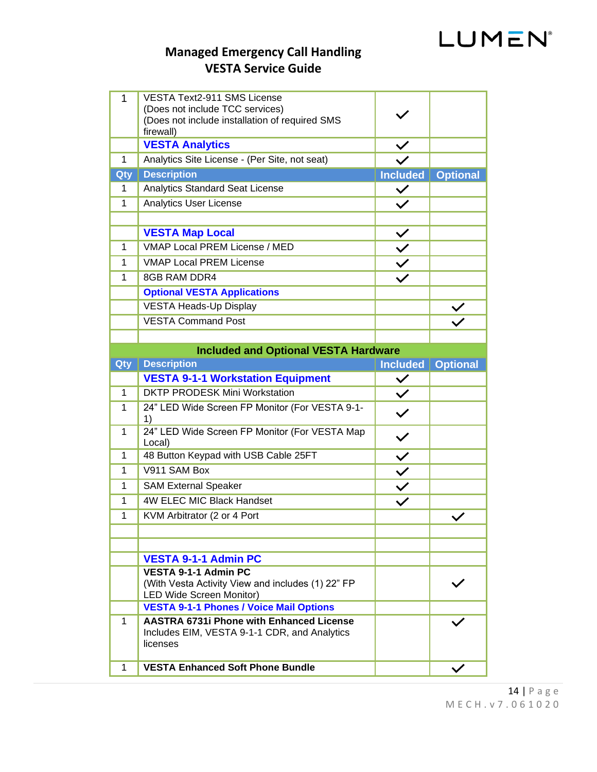## **Managed Emergency Call Handling VESTA Service Guide**

| 1            | VESTA Text2-911 SMS License<br>(Does not include TCC services)                                    |                                                                                                                                                         |                 |
|--------------|---------------------------------------------------------------------------------------------------|---------------------------------------------------------------------------------------------------------------------------------------------------------|-----------------|
|              | (Does not include installation of required SMS<br>firewall)                                       |                                                                                                                                                         |                 |
|              | <b>VESTA Analytics</b>                                                                            |                                                                                                                                                         |                 |
| $\mathbf 1$  | Analytics Site License - (Per Site, not seat)                                                     |                                                                                                                                                         |                 |
| Qty          | <b>Description</b>                                                                                | <b>Included</b>                                                                                                                                         | <b>Optional</b> |
| 1            | <b>Analytics Standard Seat License</b>                                                            | $\checkmark$                                                                                                                                            |                 |
| $\mathbf{1}$ | <b>Analytics User License</b>                                                                     |                                                                                                                                                         |                 |
|              |                                                                                                   |                                                                                                                                                         |                 |
|              | <b>VESTA Map Local</b>                                                                            |                                                                                                                                                         |                 |
| $\mathbf{1}$ | VMAP Local PREM License / MED                                                                     | $\left\langle \left\vert \left\langle \right\vert \right. \right\rangle \left\langle \left\vert \left\langle \right\vert \right. \right. \right\rangle$ |                 |
| $\mathbf{1}$ | <b>VMAP Local PREM License</b>                                                                    |                                                                                                                                                         |                 |
| $\mathbf{1}$ | 8GB RAM DDR4                                                                                      |                                                                                                                                                         |                 |
|              | <b>Optional VESTA Applications</b>                                                                |                                                                                                                                                         |                 |
|              | <b>VESTA Heads-Up Display</b>                                                                     |                                                                                                                                                         |                 |
|              | <b>VESTA Command Post</b>                                                                         |                                                                                                                                                         |                 |
|              |                                                                                                   |                                                                                                                                                         |                 |
|              | <b>Included and Optional VESTA Hardware</b>                                                       |                                                                                                                                                         |                 |
| Qty          | <b>Description</b>                                                                                | <b>Included</b>                                                                                                                                         | <b>Optional</b> |
|              | <b>VESTA 9-1-1 Workstation Equipment</b>                                                          | $\checkmark$                                                                                                                                            |                 |
|              |                                                                                                   |                                                                                                                                                         |                 |
| $\mathbf{1}$ | <b>DKTP PRODESK Mini Workstation</b>                                                              | $\overline{\checkmark}$                                                                                                                                 |                 |
| 1            | 24" LED Wide Screen FP Monitor (For VESTA 9-1-<br>1)                                              | $\checkmark$                                                                                                                                            |                 |
| $\mathbf{1}$ | 24" LED Wide Screen FP Monitor (For VESTA Map<br>Local)                                           |                                                                                                                                                         |                 |
| 1            | 48 Button Keypad with USB Cable 25FT                                                              |                                                                                                                                                         |                 |
| 1            | V911 SAM Box                                                                                      |                                                                                                                                                         |                 |
| 1            | <b>SAM External Speaker</b>                                                                       |                                                                                                                                                         |                 |
| 1            | <b>4W ELEC MIC Black Handset</b>                                                                  | $\frac{1}{2}$                                                                                                                                           |                 |
| 1            | KVM Arbitrator (2 or 4 Port                                                                       |                                                                                                                                                         |                 |
|              |                                                                                                   |                                                                                                                                                         |                 |
|              |                                                                                                   |                                                                                                                                                         |                 |
|              | <b>VESTA 9-1-1 Admin PC</b>                                                                       |                                                                                                                                                         |                 |
|              | <b>VESTA 9-1-1 Admin PC</b>                                                                       |                                                                                                                                                         |                 |
|              | (With Vesta Activity View and includes (1) 22" FP                                                 |                                                                                                                                                         |                 |
|              | <b>LED Wide Screen Monitor)</b>                                                                   |                                                                                                                                                         |                 |
| 1            | <b>VESTA 9-1-1 Phones / Voice Mail Options</b><br><b>AASTRA 6731i Phone with Enhanced License</b> |                                                                                                                                                         |                 |
|              | Includes EIM, VESTA 9-1-1 CDR, and Analytics<br>licenses                                          |                                                                                                                                                         |                 |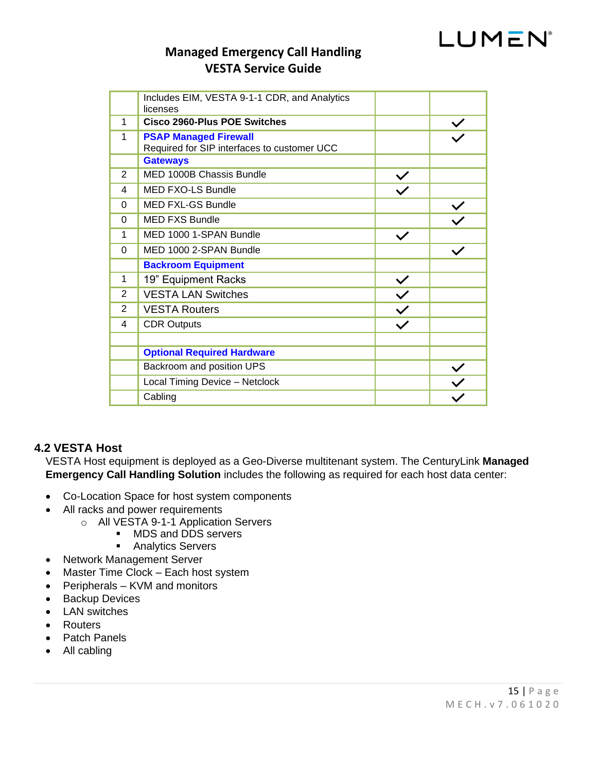# LUMEN®

## **Managed Emergency Call Handling VESTA Service Guide**

|          | Includes EIM, VESTA 9-1-1 CDR, and Analytics<br>licenses                    |              |  |
|----------|-----------------------------------------------------------------------------|--------------|--|
| 1        | Cisco 2960-Plus POE Switches                                                |              |  |
| 1        | <b>PSAP Managed Firewall</b><br>Required for SIP interfaces to customer UCC |              |  |
|          | <b>Gateways</b>                                                             |              |  |
| 2        | MED 1000B Chassis Bundle                                                    | $\checkmark$ |  |
| 4        | <b>MED FXO-LS Bundle</b>                                                    |              |  |
| 0        | <b>MED FXL-GS Bundle</b>                                                    |              |  |
| 0        | <b>MED FXS Bundle</b>                                                       |              |  |
| 1        | MED 1000 1-SPAN Bundle                                                      | $\checkmark$ |  |
| $\Omega$ | MED 1000 2-SPAN Bundle                                                      |              |  |
|          | <b>Backroom Equipment</b>                                                   |              |  |
| 1        | 19" Equipment Racks                                                         | $\checkmark$ |  |
| 2        | <b>VESTA LAN Switches</b>                                                   | $\checkmark$ |  |
| 2        | <b>VESTA Routers</b>                                                        | $\checkmark$ |  |
| 4        | <b>CDR Outputs</b>                                                          | $\checkmark$ |  |
|          |                                                                             |              |  |
|          | <b>Optional Required Hardware</b>                                           |              |  |
|          | Backroom and position UPS                                                   |              |  |
|          | Local Timing Device - Netclock                                              |              |  |
|          | Cabling                                                                     |              |  |

#### <span id="page-14-0"></span>**4.2 VESTA Host**

VESTA Host equipment is deployed as a Geo-Diverse multitenant system. The CenturyLink **Managed Emergency Call Handling Solution** includes the following as required for each host data center:

- Co-Location Space for host system components
- All racks and power requirements
	- o All VESTA 9-1-1 Application Servers
		- MDS and DDS servers<br>■ Analytics Servers
		- **Analytics Servers**
- Network Management Server
- Master Time Clock Each host system
- Peripherals KVM and monitors
- Backup Devices
- LAN switches
- Routers
- Patch Panels
- All cabling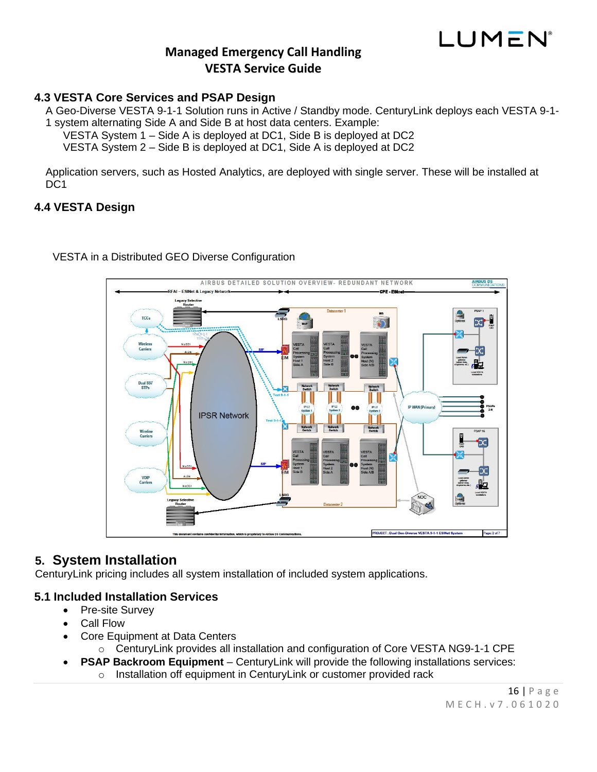

#### <span id="page-15-0"></span>**4.3 VESTA Core Services and PSAP Design**

A Geo-Diverse VESTA 9-1-1 Solution runs in Active / Standby mode. CenturyLink deploys each VESTA 9-1- 1 system alternating Side A and Side B at host data centers. Example:

VESTA System 1 – Side A is deployed at DC1, Side B is deployed at DC2

VESTA System 2 – Side B is deployed at DC1, Side A is deployed at DC2

Application servers, such as Hosted Analytics, are deployed with single server. These will be installed at D<sub>C</sub>1

#### <span id="page-15-1"></span>**4.4 VESTA Design**



#### VESTA in a Distributed GEO Diverse Configuration

### <span id="page-15-2"></span>**5. System Installation**

CenturyLink pricing includes all system installation of included system applications.

#### <span id="page-15-3"></span>**5.1 Included Installation Services**

- Pre-site Survey
- Call Flow
- Core Equipment at Data Centers

o CenturyLink provides all installation and configuration of Core VESTA NG9-1-1 CPE

- **PSAP Backroom Equipment** CenturyLink will provide the following installations services:
	- o Installation off equipment in CenturyLink or customer provided rack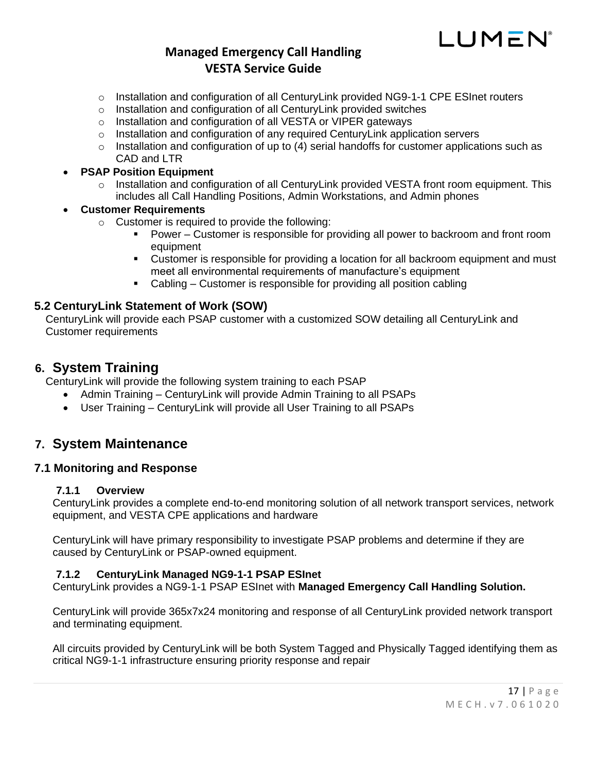## LUMEN

## **Managed Emergency Call Handling VESTA Service Guide**

- $\circ$  Installation and configuration of all CenturyLink provided NG9-1-1 CPE ESInet routers
- o Installation and configuration of all CenturyLink provided switches
- o Installation and configuration of all VESTA or VIPER gateways
- o Installation and configuration of any required CenturyLink application servers
- $\circ$  Installation and configuration of up to (4) serial handoffs for customer applications such as CAD and LTR

#### • **PSAP Position Equipment**

 $\circ$  Installation and configuration of all CenturyLink provided VESTA front room equipment. This includes all Call Handling Positions, Admin Workstations, and Admin phones

#### • **Customer Requirements**

- o Customer is required to provide the following:
	- Power Customer is responsible for providing all power to backroom and front room equipment
	- **•** Customer is responsible for providing a location for all backroom equipment and must meet all environmental requirements of manufacture's equipment
	- Cabling Customer is responsible for providing all position cabling

#### <span id="page-16-0"></span>**5.2 CenturyLink Statement of Work (SOW)**

CenturyLink will provide each PSAP customer with a customized SOW detailing all CenturyLink and Customer requirements

#### <span id="page-16-1"></span>**6. System Training**

CenturyLink will provide the following system training to each PSAP

- Admin Training CenturyLink will provide Admin Training to all PSAPs
- User Training CenturyLink will provide all User Training to all PSAPs

### <span id="page-16-2"></span>**7. System Maintenance**

#### <span id="page-16-4"></span><span id="page-16-3"></span>**7.1 Monitoring and Response**

#### **7.1.1 Overview**

CenturyLink provides a complete end-to-end monitoring solution of all network transport services, network equipment, and VESTA CPE applications and hardware

CenturyLink will have primary responsibility to investigate PSAP problems and determine if they are caused by CenturyLink or PSAP-owned equipment.

#### <span id="page-16-5"></span>**7.1.2 CenturyLink Managed NG9-1-1 PSAP ESInet**

CenturyLink provides a NG9-1-1 PSAP ESInet with **Managed Emergency Call Handling Solution.**

CenturyLink will provide 365x7x24 monitoring and response of all CenturyLink provided network transport and terminating equipment.

All circuits provided by CenturyLink will be both System Tagged and Physically Tagged identifying them as critical NG9-1-1 infrastructure ensuring priority response and repair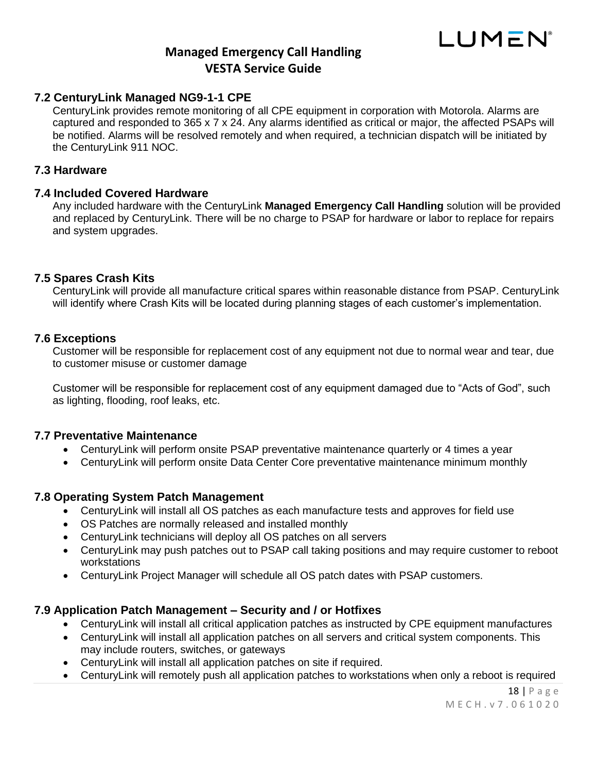

#### <span id="page-17-0"></span>**7.2 CenturyLink Managed NG9-1-1 CPE**

CenturyLink provides remote monitoring of all CPE equipment in corporation with Motorola. Alarms are captured and responded to 365 x 7 x 24. Any alarms identified as critical or major, the affected PSAPs will be notified. Alarms will be resolved remotely and when required, a technician dispatch will be initiated by the CenturyLink 911 NOC.

#### <span id="page-17-1"></span>**7.3 Hardware**

#### <span id="page-17-2"></span>**7.4 Included Covered Hardware**

Any included hardware with the CenturyLink **Managed Emergency Call Handling** solution will be provided and replaced by CenturyLink. There will be no charge to PSAP for hardware or labor to replace for repairs and system upgrades.

#### <span id="page-17-3"></span>**7.5 Spares Crash Kits**

CenturyLink will provide all manufacture critical spares within reasonable distance from PSAP. CenturyLink will identify where Crash Kits will be located during planning stages of each customer's implementation.

#### <span id="page-17-4"></span>**7.6 Exceptions**

Customer will be responsible for replacement cost of any equipment not due to normal wear and tear, due to customer misuse or customer damage

Customer will be responsible for replacement cost of any equipment damaged due to "Acts of God", such as lighting, flooding, roof leaks, etc.

#### <span id="page-17-5"></span>**7.7 Preventative Maintenance**

- CenturyLink will perform onsite PSAP preventative maintenance quarterly or 4 times a year
- CenturyLink will perform onsite Data Center Core preventative maintenance minimum monthly

#### <span id="page-17-6"></span>**7.8 Operating System Patch Management**

- CenturyLink will install all OS patches as each manufacture tests and approves for field use
- OS Patches are normally released and installed monthly
- CenturyLink technicians will deploy all OS patches on all servers
- CenturyLink may push patches out to PSAP call taking positions and may require customer to reboot workstations
- CenturyLink Project Manager will schedule all OS patch dates with PSAP customers.

#### <span id="page-17-7"></span>**7.9 Application Patch Management – Security and / or Hotfixes**

- CenturyLink will install all critical application patches as instructed by CPE equipment manufactures
- CenturyLink will install all application patches on all servers and critical system components. This may include routers, switches, or gateways
- CenturyLink will install all application patches on site if required.
- CenturyLink will remotely push all application patches to workstations when only a reboot is required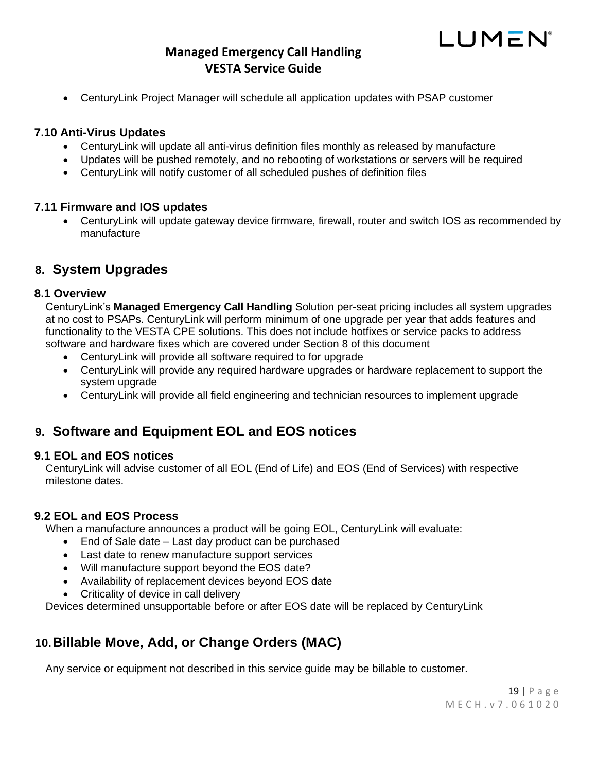

#### <span id="page-18-0"></span>**7.10 Anti-Virus Updates**

- CenturyLink will update all anti-virus definition files monthly as released by manufacture
- Updates will be pushed remotely, and no rebooting of workstations or servers will be required
- CenturyLink will notify customer of all scheduled pushes of definition files

#### <span id="page-18-1"></span>**7.11 Firmware and IOS updates**

• CenturyLink will update gateway device firmware, firewall, router and switch IOS as recommended by manufacture

### <span id="page-18-2"></span>**8. System Upgrades**

#### <span id="page-18-3"></span>**8.1 Overview**

CenturyLink's **Managed Emergency Call Handling** Solution per-seat pricing includes all system upgrades at no cost to PSAPs. CenturyLink will perform minimum of one upgrade per year that adds features and functionality to the VESTA CPE solutions. This does not include hotfixes or service packs to address software and hardware fixes which are covered under Section 8 of this document

- CenturyLink will provide all software required to for upgrade
- CenturyLink will provide any required hardware upgrades or hardware replacement to support the system upgrade
- CenturyLink will provide all field engineering and technician resources to implement upgrade

### <span id="page-18-4"></span>**9. Software and Equipment EOL and EOS notices**

#### <span id="page-18-5"></span>**9.1 EOL and EOS notices**

CenturyLink will advise customer of all EOL (End of Life) and EOS (End of Services) with respective milestone dates.

#### <span id="page-18-6"></span>**9.2 EOL and EOS Process**

When a manufacture announces a product will be going EOL, CenturyLink will evaluate:

- End of Sale date Last day product can be purchased
- Last date to renew manufacture support services
- Will manufacture support beyond the EOS date?
- Availability of replacement devices beyond EOS date
- Criticality of device in call delivery

Devices determined unsupportable before or after EOS date will be replaced by CenturyLink

## <span id="page-18-7"></span>**10.Billable Move, Add, or Change Orders (MAC)**

Any service or equipment not described in this service guide may be billable to customer.

LUMEN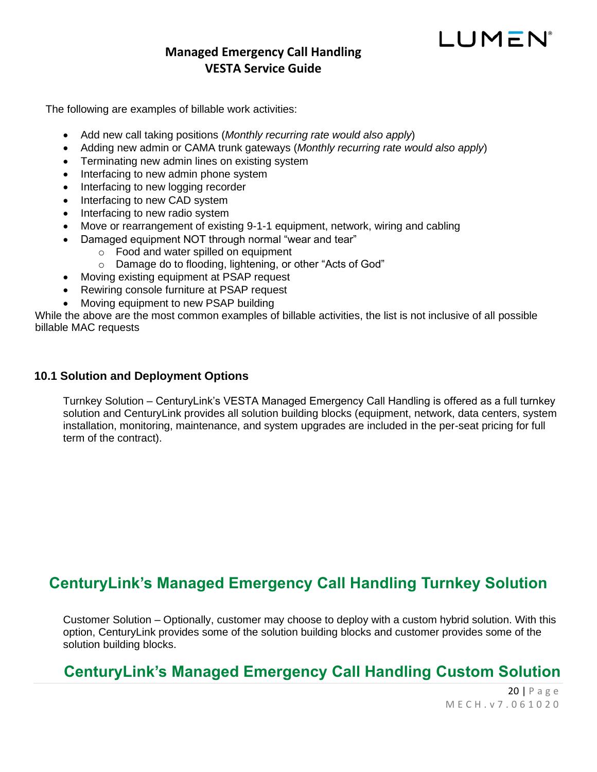## LUMEN

## **Managed Emergency Call Handling VESTA Service Guide**

The following are examples of billable work activities:

- Add new call taking positions (*Monthly recurring rate would also apply*)
- Adding new admin or CAMA trunk gateways (*Monthly recurring rate would also apply*)
- Terminating new admin lines on existing system
- Interfacing to new admin phone system
- Interfacing to new logging recorder
- Interfacing to new CAD system
- Interfacing to new radio system
- Move or rearrangement of existing 9-1-1 equipment, network, wiring and cabling
	- Damaged equipment NOT through normal "wear and tear"
		- o Food and water spilled on equipment
		- o Damage do to flooding, lightening, or other "Acts of God"
- Moving existing equipment at PSAP request
- Rewiring console furniture at PSAP request
- Moving equipment to new PSAP building

While the above are the most common examples of billable activities, the list is not inclusive of all possible billable MAC requests

#### **10.1 Solution and Deployment Options**

Turnkey Solution – CenturyLink's VESTA Managed Emergency Call Handling is offered as a full turnkey solution and CenturyLink provides all solution building blocks (equipment, network, data centers, system installation, monitoring, maintenance, and system upgrades are included in the per-seat pricing for full term of the contract).

## **CenturyLink's Managed Emergency Call Handling Turnkey Solution**

Customer Solution – Optionally, customer may choose to deploy with a custom hybrid solution. With this option, CenturyLink provides some of the solution building blocks and customer provides some of the solution building blocks.

## **CenturyLink's Managed Emergency Call Handling Custom Solution**

20 | P a g e M E C H . v 7 . 0 6 1 0 2 0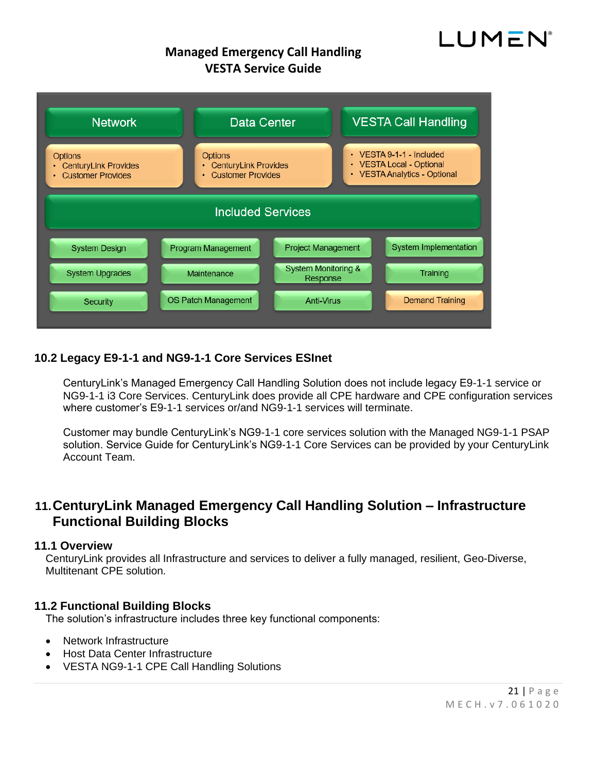# LUMEN®

## **Managed Emergency Call Handling VESTA Service Guide**



#### **10.2 Legacy E9-1-1 and NG9-1-1 Core Services ESInet**

CenturyLink's Managed Emergency Call Handling Solution does not include legacy E9-1-1 service or NG9-1-1 i3 Core Services. CenturyLink does provide all CPE hardware and CPE configuration services where customer's E9-1-1 services or/and NG9-1-1 services will terminate.

Customer may bundle CenturyLink's NG9-1-1 core services solution with the Managed NG9-1-1 PSAP solution. Service Guide for CenturyLink's NG9-1-1 Core Services can be provided by your CenturyLink Account Team.

## **11.CenturyLink Managed Emergency Call Handling Solution – Infrastructure Functional Building Blocks**

#### **11.1 Overview**

CenturyLink provides all Infrastructure and services to deliver a fully managed, resilient, Geo-Diverse, Multitenant CPE solution.

#### **11.2 Functional Building Blocks**

The solution's infrastructure includes three key functional components:

- Network Infrastructure
- Host Data Center Infrastructure
- VESTA NG9-1-1 CPE Call Handling Solutions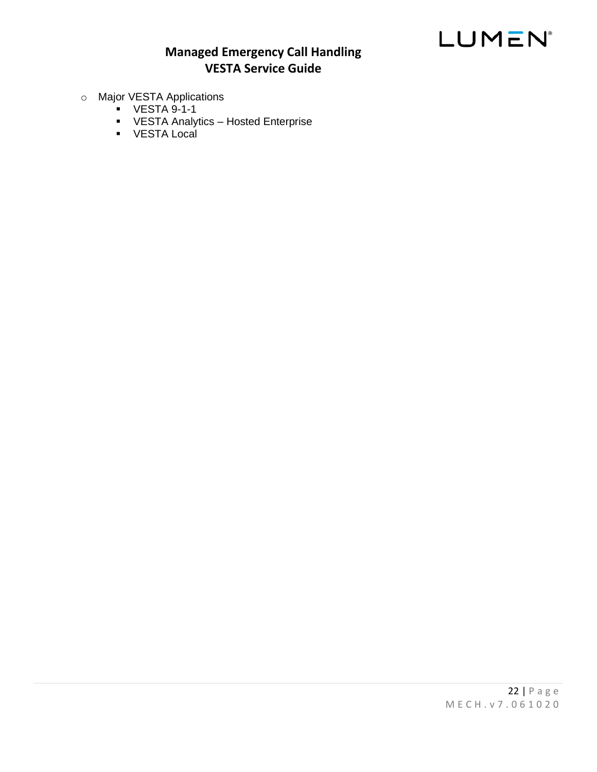## **Managed Emergency Call Handling VESTA Service Guide**

- o Major VESTA Applications
	- VESTA 9-1-1
	- VESTA Analytics Hosted Enterprise
	- VESTA Local